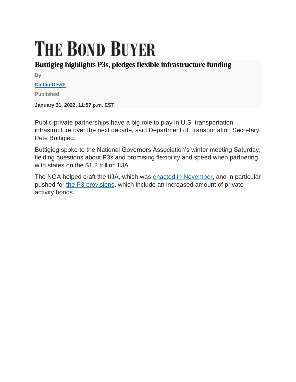## **THE BOND BUYER**

## **Buttigieg highlights P3s, pledges flexible infrastructure funding**

**By**

## **[Caitlin Devitt](https://www.bondbuyer.com/author/caitlin-devitt)**

**Published**

**January 31, 2022, 11:57 p.m. EST**

Public-private partnerships have a big role to play in U.S. transportation infrastructure over the next decade, said Department of Transportation Secretary Pete Buttigieg.

Buttigieg spoke to the National Governors Association's winter meeting Saturday, fielding questions about P3s and promising flexibility and speed when partnering with states on the \$1.2 trillion IIJA.

The NGA helped craft the IIJA, which was [enacted in November,](https://www.bondbuyer.com/news/infrastructure-bill-becomes-law) and in particular pushed for [the P3 provisions,](https://www.bondbuyer.com/news/infrastructure-bill-would-encourage-more-p3s-in-the-united-states) which include an increased amount of private activity bonds.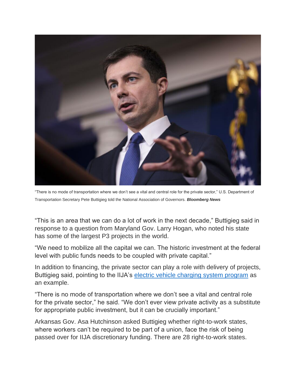

"There is no mode of transportation where we don't see a vital and central role for the private sector," U.S. Department of Transportation Secretary Pete Buttigieg told the National Association of Governors. *Bloomberg News*

"This is an area that we can do a lot of work in the next decade," Buttigieg said in response to a question from Maryland Gov. Larry Hogan, who noted his state has some of the largest P3 projects in the world.

"We need to mobilize all the capital we can. The historic investment at the federal level with public funds needs to be coupled with private capital."

In addition to financing, the private sector can play a role with delivery of projects, Buttigieg said, pointing to the IIJA's [electric vehicle charging system program](https://www.bondbuyer.com/news/p3s-key-to-iija-electric-vehicle-charging-program) as an example.

"There is no mode of transportation where we don't see a vital and central role for the private sector," he said. "We don't ever view private activity as a substitute for appropriate public investment, but it can be crucially important."

Arkansas Gov. Asa Hutchinson asked Buttigieg whether right-to-work states, where workers can't be required to be part of a union, face the risk of being passed over for IIJA discretionary funding. There are 28 right-to-work states.